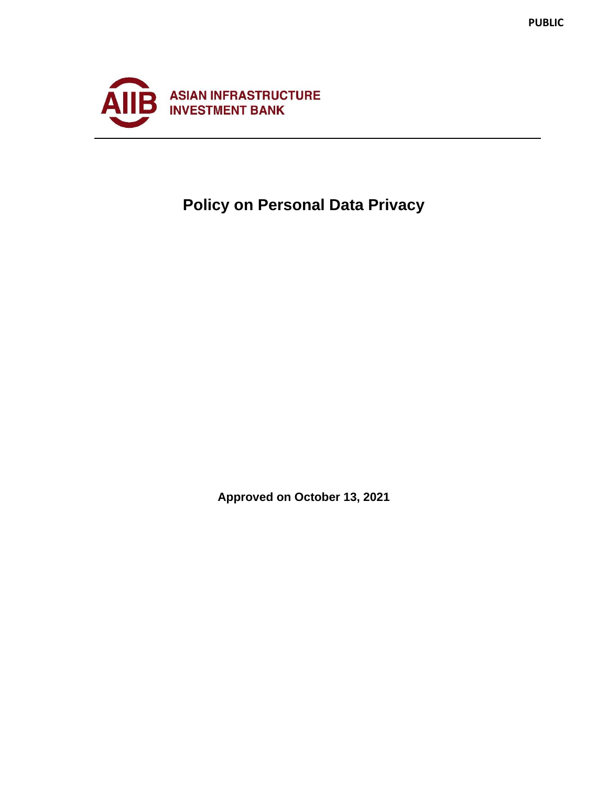

# **Policy on Personal Data Privacy**

**Approved on October 13, 2021**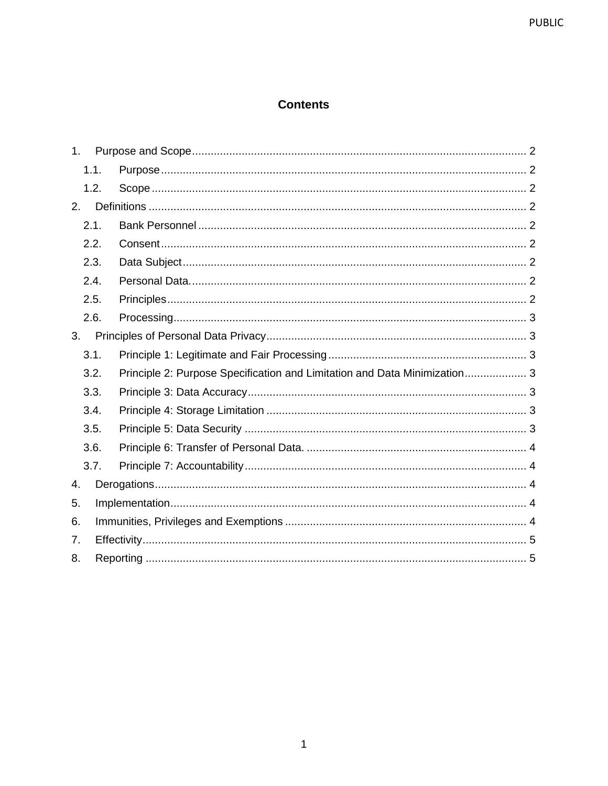# **Contents**

| 1 <sub>1</sub> |  |                                                                           |  |
|----------------|--|---------------------------------------------------------------------------|--|
| 1.1.           |  |                                                                           |  |
| 1.2.           |  |                                                                           |  |
| 2.             |  |                                                                           |  |
| 2.1.           |  |                                                                           |  |
| 2.2.           |  |                                                                           |  |
| 2.3.           |  |                                                                           |  |
| 2.4.           |  |                                                                           |  |
| 2.5.           |  |                                                                           |  |
| 2.6.           |  |                                                                           |  |
| 3.             |  |                                                                           |  |
| 3.1.           |  |                                                                           |  |
| 3.2.           |  | Principle 2: Purpose Specification and Limitation and Data Minimization 3 |  |
| 3.3.           |  |                                                                           |  |
| 3.4.           |  |                                                                           |  |
| 3.5.           |  |                                                                           |  |
| 3.6.           |  |                                                                           |  |
| 3.7.           |  |                                                                           |  |
| 4.             |  |                                                                           |  |
| 5.             |  |                                                                           |  |
| 6.             |  |                                                                           |  |
| 7.             |  |                                                                           |  |
| 8.             |  |                                                                           |  |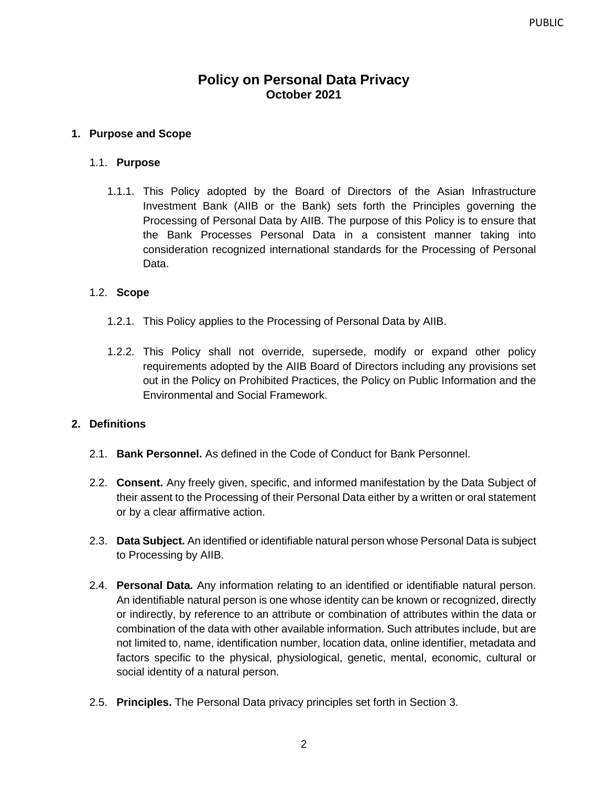# **Policy on Personal Data Privacy October 2021**

### <span id="page-2-0"></span>**1. Purpose and Scope**

### <span id="page-2-1"></span>1.1. **Purpose**

1.1.1. This Policy adopted by the Board of Directors of the Asian Infrastructure Investment Bank (AIIB or the Bank) sets forth the Principles governing the Processing of Personal Data by AIIB. The purpose of this Policy is to ensure that the Bank Processes Personal Data in a consistent manner taking into consideration recognized international standards for the Processing of Personal Data.

#### <span id="page-2-2"></span>1.2. **Scope**

- 1.2.1. This Policy applies to the Processing of Personal Data by AIIB.
- 1.2.2. This Policy shall not override, supersede, modify or expand other policy requirements adopted by the AIIB Board of Directors including any provisions set out in the Policy on Prohibited Practices, the Policy on Public Information and the Environmental and Social Framework.

### <span id="page-2-3"></span>**2. Definitions**

- <span id="page-2-4"></span>2.1. **Bank Personnel.** As defined in the Code of Conduct for Bank Personnel.
- <span id="page-2-5"></span>2.2. **Consent.** Any freely given, specific, and informed manifestation by the Data Subject of their assent to the Processing of their Personal Data either by a written or oral statement or by a clear affirmative action.
- <span id="page-2-6"></span>2.3. **Data Subject.** An identified or identifiable natural person whose Personal Data is subject to Processing by AIIB.
- <span id="page-2-7"></span>2.4. **Personal Data.** Any information relating to an identified or identifiable natural person. An identifiable natural person is one whose identity can be known or recognized, directly or indirectly, by reference to an attribute or combination of attributes within the data or combination of the data with other available information. Such attributes include, but are not limited to, name, identification number, location data, online identifier, metadata and factors specific to the physical, physiological, genetic, mental, economic, cultural or social identity of a natural person.
- <span id="page-2-8"></span>2.5. **Principles.** The Personal Data privacy principles set forth in Section 3.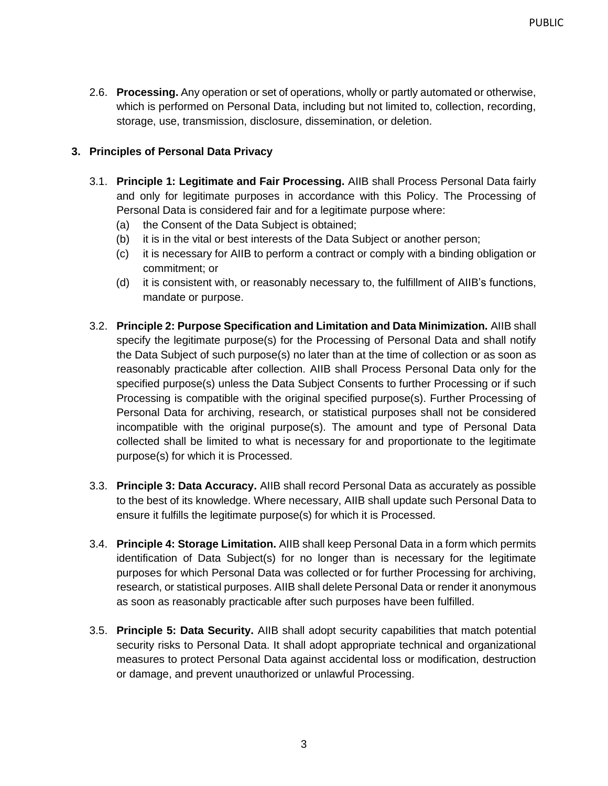<span id="page-3-0"></span>2.6. **Processing.** Any operation or set of operations, wholly or partly automated or otherwise, which is performed on Personal Data, including but not limited to, collection, recording, storage, use, transmission, disclosure, dissemination, or deletion.

## <span id="page-3-1"></span>**3. Principles of Personal Data Privacy**

- <span id="page-3-2"></span>3.1. **Principle 1: Legitimate and Fair Processing.** AIIB shall Process Personal Data fairly and only for legitimate purposes in accordance with this Policy. The Processing of Personal Data is considered fair and for a legitimate purpose where:
	- (a) the Consent of the Data Subject is obtained;
	- (b) it is in the vital or best interests of the Data Subject or another person;
	- (c) it is necessary for AIIB to perform a contract or comply with a binding obligation or commitment; or
	- (d) it is consistent with, or reasonably necessary to, the fulfillment of AIIB's functions, mandate or purpose.
- <span id="page-3-3"></span>3.2. **Principle 2: Purpose Specification and Limitation and Data Minimization.** AIIB shall specify the legitimate purpose(s) for the Processing of Personal Data and shall notify the Data Subject of such purpose(s) no later than at the time of collection or as soon as reasonably practicable after collection. AIIB shall Process Personal Data only for the specified purpose(s) unless the Data Subject Consents to further Processing or if such Processing is compatible with the original specified purpose(s). Further Processing of Personal Data for archiving, research, or statistical purposes shall not be considered incompatible with the original purpose(s). The amount and type of Personal Data collected shall be limited to what is necessary for and proportionate to the legitimate purpose(s) for which it is Processed.
- <span id="page-3-4"></span>3.3. **Principle 3: Data Accuracy.** AIIB shall record Personal Data as accurately as possible to the best of its knowledge. Where necessary, AIIB shall update such Personal Data to ensure it fulfills the legitimate purpose(s) for which it is Processed.
- <span id="page-3-5"></span>3.4. **Principle 4: Storage Limitation.** AIIB shall keep Personal Data in a form which permits identification of Data Subject(s) for no longer than is necessary for the legitimate purposes for which Personal Data was collected or for further Processing for archiving, research, or statistical purposes. AIIB shall delete Personal Data or render it anonymous as soon as reasonably practicable after such purposes have been fulfilled.
- <span id="page-3-6"></span>3.5. **Principle 5: Data Security.** AIIB shall adopt security capabilities that match potential security risks to Personal Data. It shall adopt appropriate technical and organizational measures to protect Personal Data against accidental loss or modification, destruction or damage, and prevent unauthorized or unlawful Processing.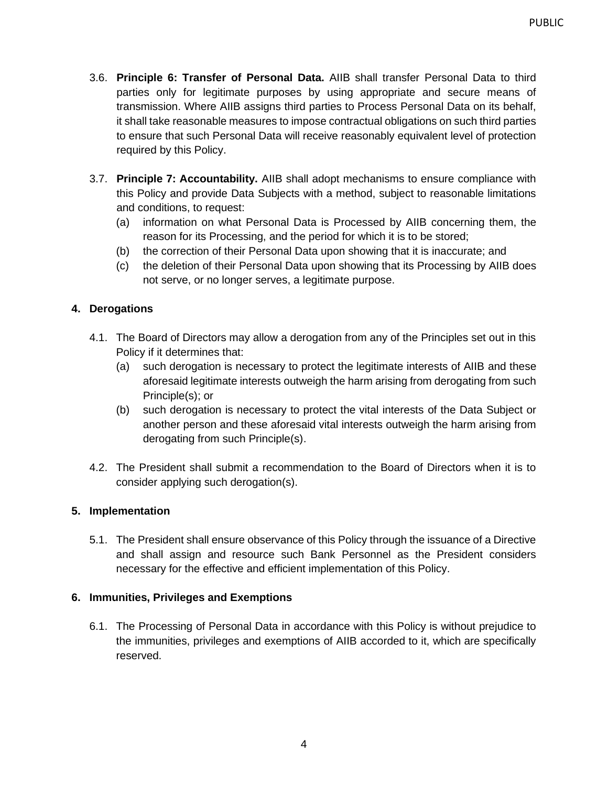- <span id="page-4-0"></span>3.6. **Principle 6: Transfer of Personal Data.** AIIB shall transfer Personal Data to third parties only for legitimate purposes by using appropriate and secure means of transmission. Where AIIB assigns third parties to Process Personal Data on its behalf, it shall take reasonable measures to impose contractual obligations on such third parties to ensure that such Personal Data will receive reasonably equivalent level of protection required by this Policy.
- <span id="page-4-1"></span>3.7. **Principle 7: Accountability.** AIIB shall adopt mechanisms to ensure compliance with this Policy and provide Data Subjects with a method, subject to reasonable limitations and conditions, to request:
	- (a) information on what Personal Data is Processed by AIIB concerning them, the reason for its Processing, and the period for which it is to be stored;
	- (b) the correction of their Personal Data upon showing that it is inaccurate; and
	- (c) the deletion of their Personal Data upon showing that its Processing by AIIB does not serve, or no longer serves, a legitimate purpose.

## <span id="page-4-2"></span>**4. Derogations**

- 4.1. The Board of Directors may allow a derogation from any of the Principles set out in this Policy if it determines that:
	- (a) such derogation is necessary to protect the legitimate interests of AIIB and these aforesaid legitimate interests outweigh the harm arising from derogating from such Principle(s); or
	- (b) such derogation is necessary to protect the vital interests of the Data Subject or another person and these aforesaid vital interests outweigh the harm arising from derogating from such Principle(s).
- 4.2. The President shall submit a recommendation to the Board of Directors when it is to consider applying such derogation(s).

## <span id="page-4-3"></span>**5. Implementation**

5.1. The President shall ensure observance of this Policy through the issuance of a Directive and shall assign and resource such Bank Personnel as the President considers necessary for the effective and efficient implementation of this Policy.

## <span id="page-4-4"></span>**6. Immunities, Privileges and Exemptions**

6.1. The Processing of Personal Data in accordance with this Policy is without prejudice to the immunities, privileges and exemptions of AIIB accorded to it, which are specifically reserved.